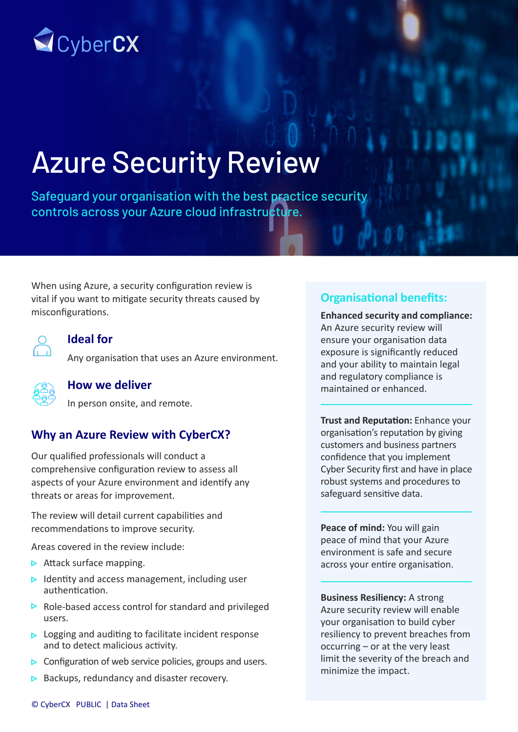

# Azure Security Review

Safeguard your organisation with the best practice security controls across your Azure cloud infrastructure.

When using Azure, a security configuration review is vital if you want to mitigate security threats caused by misconfigurations.



#### **Ideal for**

Any organisation that uses an Azure environment.



#### **How we deliver**

In person onsite, and remote.

## **Why an Azure Review with CyberCX?**

Our qualified professionals will conduct a comprehensive configuration review to assess all aspects of your Azure environment and identify any threats or areas for improvement.

The review will detail current capabilities and recommendations to improve security.

Areas covered in the review include:

- $\triangleright$  Attack surface mapping.
- $\triangleright$  Identity and access management, including user authentication.
- $\triangleright$  Role-based access control for standard and privileged users.
- $\triangleright$  Logging and auditing to facilitate incident response and to detect malicious activity.
- $\triangleright$  Configuration of web service policies, groups and users.
- $\triangleright$  Backups, redundancy and disaster recovery.

## **Organisational benefits:**

**Enhanced security and compliance:**  An Azure security review will ensure your organisation data exposure is significantly reduced and your ability to maintain legal and regulatory compliance is maintained or enhanced.

**Trust and Reputation:** Enhance your organisation's reputation by giving customers and business partners confidence that you implement Cyber Security first and have in place robust systems and procedures to safeguard sensitive data.

**Peace of mind:** You will gain peace of mind that your Azure environment is safe and secure across your entire organisation.

**Business Resiliency:** A strong Azure security review will enable your organisation to build cyber resiliency to prevent breaches from occurring – or at the very least limit the severity of the breach and minimize the impact.